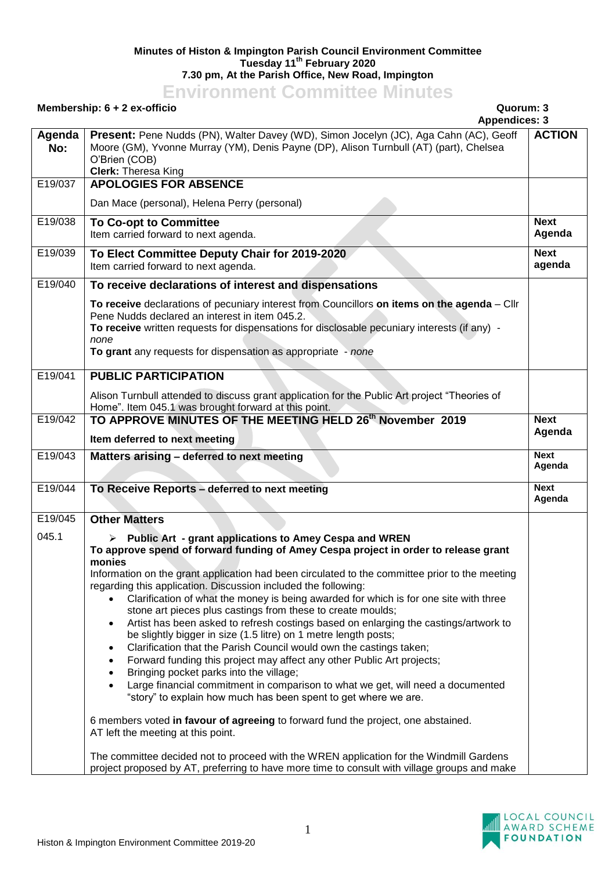## **Minutes of Histon & Impington Parish Council Environment Committee Tuesday 11th February 2020 7.30 pm, At the Parish Office, New Road, Impington**

## **Environment Committee Minutes**

## **Membership: 6 + 2 ex-officio Quorum: 3**

|               | <b>Appendices: 3</b>                                                                                                                                                                                                                                                                                                                                                                                                                                                                                                                                                                                                                                                                                                                                                                                                                                                                                                                                                                                                                                                                                                                                                                                                                                                                           |                       |
|---------------|------------------------------------------------------------------------------------------------------------------------------------------------------------------------------------------------------------------------------------------------------------------------------------------------------------------------------------------------------------------------------------------------------------------------------------------------------------------------------------------------------------------------------------------------------------------------------------------------------------------------------------------------------------------------------------------------------------------------------------------------------------------------------------------------------------------------------------------------------------------------------------------------------------------------------------------------------------------------------------------------------------------------------------------------------------------------------------------------------------------------------------------------------------------------------------------------------------------------------------------------------------------------------------------------|-----------------------|
| Agenda<br>No: | Present: Pene Nudds (PN), Walter Davey (WD), Simon Jocelyn (JC), Aga Cahn (AC), Geoff<br>Moore (GM), Yvonne Murray (YM), Denis Payne (DP), Alison Turnbull (AT) (part), Chelsea<br>O'Brien (COB)<br><b>Clerk: Theresa King</b>                                                                                                                                                                                                                                                                                                                                                                                                                                                                                                                                                                                                                                                                                                                                                                                                                                                                                                                                                                                                                                                                 | <b>ACTION</b>         |
| E19/037       | <b>APOLOGIES FOR ABSENCE</b>                                                                                                                                                                                                                                                                                                                                                                                                                                                                                                                                                                                                                                                                                                                                                                                                                                                                                                                                                                                                                                                                                                                                                                                                                                                                   |                       |
|               | Dan Mace (personal), Helena Perry (personal)                                                                                                                                                                                                                                                                                                                                                                                                                                                                                                                                                                                                                                                                                                                                                                                                                                                                                                                                                                                                                                                                                                                                                                                                                                                   |                       |
| E19/038       | <b>To Co-opt to Committee</b><br>Item carried forward to next agenda.                                                                                                                                                                                                                                                                                                                                                                                                                                                                                                                                                                                                                                                                                                                                                                                                                                                                                                                                                                                                                                                                                                                                                                                                                          | <b>Next</b><br>Agenda |
| E19/039       | To Elect Committee Deputy Chair for 2019-2020<br>Item carried forward to next agenda.                                                                                                                                                                                                                                                                                                                                                                                                                                                                                                                                                                                                                                                                                                                                                                                                                                                                                                                                                                                                                                                                                                                                                                                                          | <b>Next</b><br>agenda |
| E19/040       | To receive declarations of interest and dispensations                                                                                                                                                                                                                                                                                                                                                                                                                                                                                                                                                                                                                                                                                                                                                                                                                                                                                                                                                                                                                                                                                                                                                                                                                                          |                       |
|               | To receive declarations of pecuniary interest from Councillors on items on the agenda - Cllr<br>Pene Nudds declared an interest in item 045.2.<br>To receive written requests for dispensations for disclosable pecuniary interests (if any) -<br>none<br>To grant any requests for dispensation as appropriate - none                                                                                                                                                                                                                                                                                                                                                                                                                                                                                                                                                                                                                                                                                                                                                                                                                                                                                                                                                                         |                       |
| E19/041       | <b>PUBLIC PARTICIPATION</b>                                                                                                                                                                                                                                                                                                                                                                                                                                                                                                                                                                                                                                                                                                                                                                                                                                                                                                                                                                                                                                                                                                                                                                                                                                                                    |                       |
|               | Alison Turnbull attended to discuss grant application for the Public Art project "Theories of<br>Home". Item 045.1 was brought forward at this point.                                                                                                                                                                                                                                                                                                                                                                                                                                                                                                                                                                                                                                                                                                                                                                                                                                                                                                                                                                                                                                                                                                                                          |                       |
| E19/042       | TO APPROVE MINUTES OF THE MEETING HELD 26th November 2019                                                                                                                                                                                                                                                                                                                                                                                                                                                                                                                                                                                                                                                                                                                                                                                                                                                                                                                                                                                                                                                                                                                                                                                                                                      | <b>Next</b>           |
|               | Item deferred to next meeting                                                                                                                                                                                                                                                                                                                                                                                                                                                                                                                                                                                                                                                                                                                                                                                                                                                                                                                                                                                                                                                                                                                                                                                                                                                                  | Agenda                |
| E19/043       | Matters arising - deferred to next meeting                                                                                                                                                                                                                                                                                                                                                                                                                                                                                                                                                                                                                                                                                                                                                                                                                                                                                                                                                                                                                                                                                                                                                                                                                                                     | <b>Next</b><br>Agenda |
| E19/044       | To Receive Reports - deferred to next meeting                                                                                                                                                                                                                                                                                                                                                                                                                                                                                                                                                                                                                                                                                                                                                                                                                                                                                                                                                                                                                                                                                                                                                                                                                                                  | <b>Next</b><br>Agenda |
| E19/045       | <b>Other Matters</b>                                                                                                                                                                                                                                                                                                                                                                                                                                                                                                                                                                                                                                                                                                                                                                                                                                                                                                                                                                                                                                                                                                                                                                                                                                                                           |                       |
| 045.1         | <b>Public Art - grant applications to Amey Cespa and WREN</b><br>To approve spend of forward funding of Amey Cespa project in order to release grant<br>monies<br>Information on the grant application had been circulated to the committee prior to the meeting<br>regarding this application. Discussion included the following:<br>Clarification of what the money is being awarded for which is for one site with three<br>stone art pieces plus castings from these to create moulds;<br>Artist has been asked to refresh costings based on enlarging the castings/artwork to<br>$\bullet$<br>be slightly bigger in size (1.5 litre) on 1 metre length posts;<br>Clarification that the Parish Council would own the castings taken;<br>$\bullet$<br>Forward funding this project may affect any other Public Art projects;<br>$\bullet$<br>Bringing pocket parks into the village;<br>$\bullet$<br>Large financial commitment in comparison to what we get, will need a documented<br>$\bullet$<br>"story" to explain how much has been spent to get where we are.<br>6 members voted in favour of agreeing to forward fund the project, one abstained.<br>AT left the meeting at this point.<br>The committee decided not to proceed with the WREN application for the Windmill Gardens |                       |
|               | project proposed by AT, preferring to have more time to consult with village groups and make                                                                                                                                                                                                                                                                                                                                                                                                                                                                                                                                                                                                                                                                                                                                                                                                                                                                                                                                                                                                                                                                                                                                                                                                   |                       |